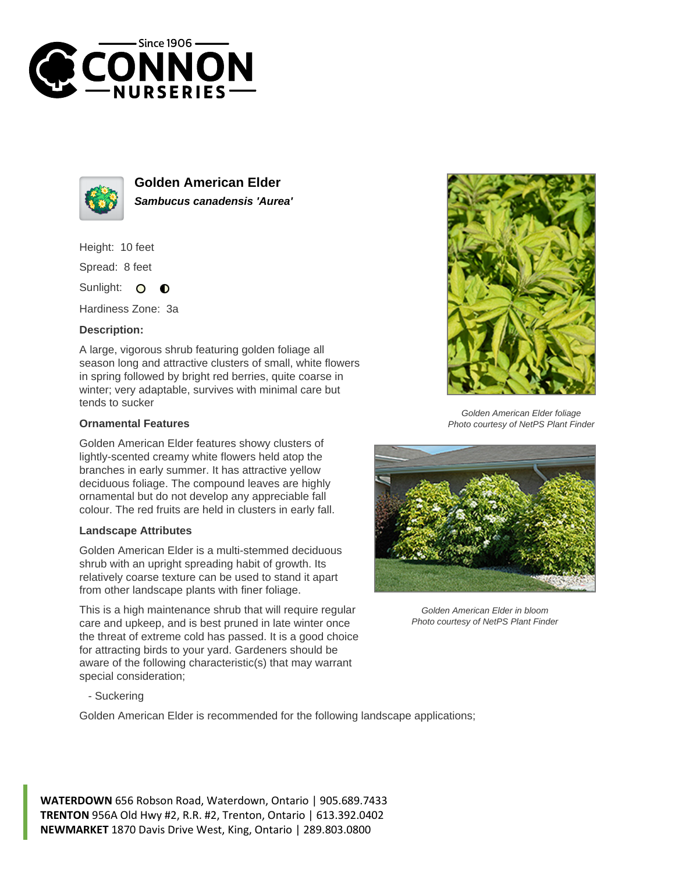



**Golden American Elder Sambucus canadensis 'Aurea'**

Height: 10 feet

Spread: 8 feet

Sunlight: O  $\bullet$ 

Hardiness Zone: 3a

## **Description:**

A large, vigorous shrub featuring golden foliage all season long and attractive clusters of small, white flowers in spring followed by bright red berries, quite coarse in winter; very adaptable, survives with minimal care but tends to sucker

## **Ornamental Features**

Golden American Elder features showy clusters of lightly-scented creamy white flowers held atop the branches in early summer. It has attractive yellow deciduous foliage. The compound leaves are highly ornamental but do not develop any appreciable fall colour. The red fruits are held in clusters in early fall.

## **Landscape Attributes**

Golden American Elder is a multi-stemmed deciduous shrub with an upright spreading habit of growth. Its relatively coarse texture can be used to stand it apart from other landscape plants with finer foliage.

This is a high maintenance shrub that will require regular care and upkeep, and is best pruned in late winter once the threat of extreme cold has passed. It is a good choice for attracting birds to your yard. Gardeners should be aware of the following characteristic(s) that may warrant special consideration;



Golden American Elder foliage Photo courtesy of NetPS Plant Finder



Golden American Elder in bloom Photo courtesy of NetPS Plant Finder

- Suckering

Golden American Elder is recommended for the following landscape applications;

**WATERDOWN** 656 Robson Road, Waterdown, Ontario | 905.689.7433 **TRENTON** 956A Old Hwy #2, R.R. #2, Trenton, Ontario | 613.392.0402 **NEWMARKET** 1870 Davis Drive West, King, Ontario | 289.803.0800